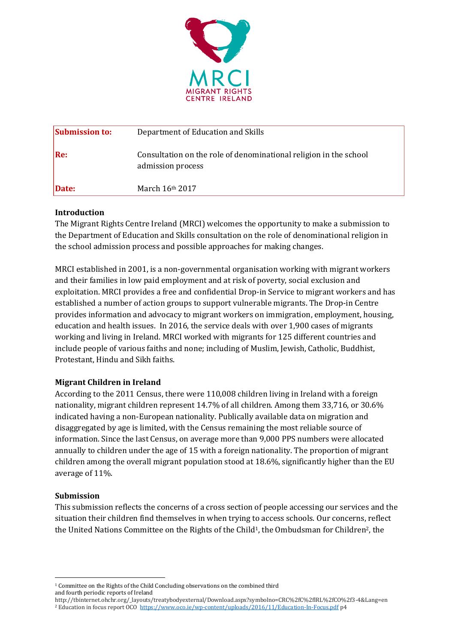

| <b>Submission to:</b> | Department of Education and Skills                                                     |
|-----------------------|----------------------------------------------------------------------------------------|
| Re:                   | Consultation on the role of denominational religion in the school<br>admission process |
| Date:                 | March $16th 2017$                                                                      |

### **Introduction**

The Migrant Rights Centre Ireland (MRCI) welcomes the opportunity to make a submission to the Department of Education and Skills consultation on the role of denominational religion in the school admission process and possible approaches for making changes.

MRCI established in 2001, is a non-governmental organisation working with migrant workers and their families in low paid employment and at risk of poverty, social exclusion and exploitation. MRCI provides a free and confidential Drop-in Service to migrant workers and has established a number of action groups to support vulnerable migrants. The Drop-in Centre provides information and advocacy to migrant workers on immigration, employment, housing, education and health issues. In 2016, the service deals with over 1,900 cases of migrants working and living in Ireland. MRCI worked with migrants for 125 different countries and include people of various faiths and none; including of Muslim, Jewish, Catholic, Buddhist, Protestant, Hindu and Sikh faiths.

## **Migrant Children in Ireland**

According to the 2011 Census, there were 110,008 children living in Ireland with a foreign nationality, migrant children represent 14.7% of all children. Among them 33,716, or 30.6% indicated having a non-European nationality. Publically available data on migration and disaggregated by age is limited, with the Census remaining the most reliable source of information. Since the last Census, on average more than 9,000 PPS numbers were allocated annually to children under the age of 15 with a foreign nationality. The proportion of migrant children among the overall migrant population stood at 18.6%, significantly higher than the EU average of 11%.

#### **Submission**

**.** 

This submission reflects the concerns of a cross section of people accessing our services and the situation their children find themselves in when trying to access schools. Our concerns, reflect the United Nations Committee on the Rights of the Child<sup>1</sup>, the Ombudsman for Children<sup>2</sup>, the

<sup>1</sup> Committee on the Rights of the Child Concluding observations on the combined third and fourth periodic reports of Ireland

http://tbinternet.ohchr.org/\_layouts/treatybodyexternal/Download.aspx?symbolno=CRC%2fC%2fIRL%2fCO%2f3-4&Lang=en <sup>2</sup> Education in focus report OCO <https://www.oco.ie/wp-content/uploads/2016/11/Education-In-Focus.pdf> p4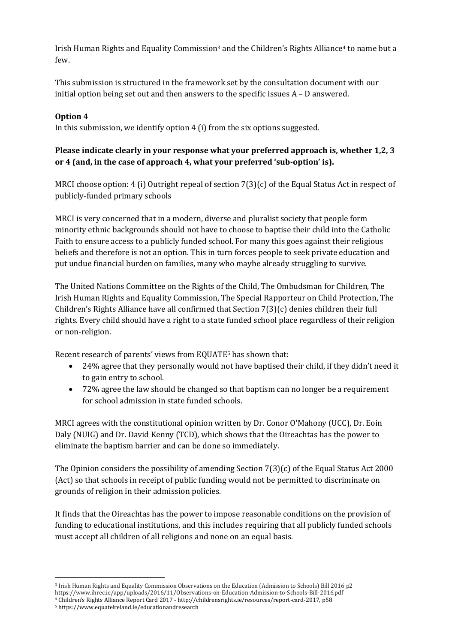Irish Human Rights and Equality Commission<sup>3</sup> and the Children's Rights Alliance<sup>4</sup> to name but a few.

This submission is structured in the framework set by the consultation document with our initial option being set out and then answers to the specific issues A – D answered.

# **Option 4**

**.** 

In this submission, we identify option 4 (i) from the six options suggested.

# **Please indicate clearly in your response what your preferred approach is, whether 1,2, 3 or 4 (and, in the case of approach 4, what your preferred 'sub-option' is).**

MRCI choose option: 4 (i) Outright repeal of section 7(3)(c) of the Equal Status Act in respect of publicly-funded primary schools

MRCI is very concerned that in a modern, diverse and pluralist society that people form minority ethnic backgrounds should not have to choose to baptise their child into the Catholic Faith to ensure access to a publicly funded school. For many this goes against their religious beliefs and therefore is not an option. This in turn forces people to seek private education and put undue financial burden on families, many who maybe already struggling to survive.

The United Nations Committee on the Rights of the Child, The Ombudsman for Children, The Irish Human Rights and Equality Commission, The Special Rapporteur on Child Protection, The Children's Rights Alliance have all confirmed that Section 7(3)(c) denies children their full rights. Every child should have a right to a state funded school place regardless of their religion or non-religion.

Recent research of parents' views from EQUATE<sup>5</sup> has shown that:

- 24% agree that they personally would not have baptised their child, if they didn't need it to gain entry to school.
- 72% agree the law should be changed so that baptism can no longer be a requirement for school admission in state funded schools.

MRCI agrees with the constitutional opinion written by Dr. Conor O'Mahony (UCC), Dr. Eoin Daly (NUIG) and Dr. David Kenny (TCD), which shows that the Oireachtas has the power to eliminate the baptism barrier and can be done so immediately.

The Opinion considers the possibility of amending Section 7(3)(c) of the Equal Status Act 2000 (Act) so that schools in receipt of public funding would not be permitted to discriminate on grounds of religion in their admission policies.

It finds that the Oireachtas has the power to impose reasonable conditions on the provision of funding to educational institutions, and this includes requiring that all publicly funded schools must accept all children of all religions and none on an equal basis.

<sup>3</sup> Irish Human Rights and Equality Commission Observations on the Education (Admission to Schools) Bill 2016 p2 https://www.ihrec.ie/app/uploads/2016/11/Observations-on-Education-Admission-to-Schools-Bill-2016.pdf <sup>4</sup> Children's Rights Alliance Report Card 2017 - http://childrensrights.ie/resources/report-card-2017, p58 <sup>5</sup> https://www.equateireland.ie/educationandresearch